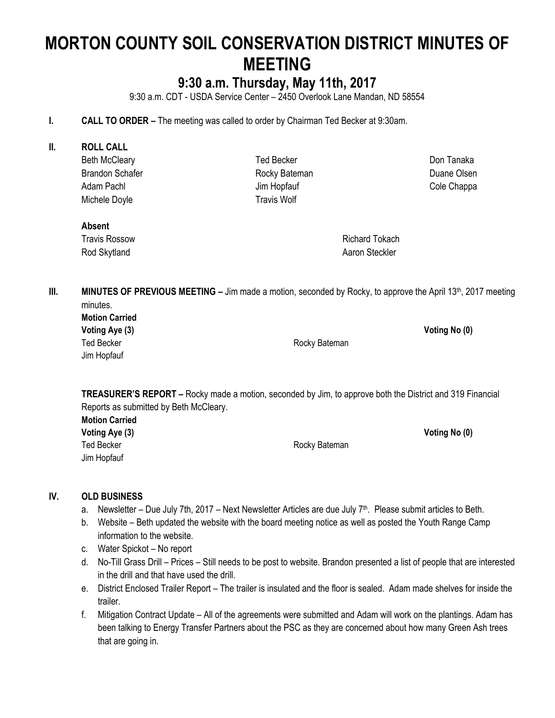# **MORTON COUNTY SOIL CONSERVATION DISTRICT MINUTES OF MEETING**

## **9:30 a.m. Thursday, May 11th, 2017**

9:30 a.m. CDT - USDA Service Center – 2450 Overlook Lane Mandan, ND 58554

- **I. CALL TO ORDER –** The meeting was called to order by Chairman Ted Becker at 9:30am.
- **II. ROLL CALL** Beth McCleary Brandon Schafer Adam Pachl Michele Doyle Ted Becker Rocky Bateman Jim Hopfauf Travis Wolf

Don Tanaka Duane Olsen Cole Chappa

#### **Absent**

Travis Rossow Rod Skytland

Richard Tokach Aaron Steckler

**III. MINUTES OF PREVIOUS MEETING** – Jim made a motion, seconded by Rocky, to approve the April 13<sup>th</sup>, 2017 meeting minutes.

| <b>Motion Carried</b> |  |
|-----------------------|--|
| Voting Aye (3)        |  |
| <b>Ted Becker</b>     |  |
| Jim Hopfauf           |  |

Rocky Bateman

**Voting Aye (3) Voting No (0)**

**TREASURER'S REPORT –** Rocky made a motion, seconded by Jim, to approve both the District and 319 Financial Reports as submitted by Beth McCleary.

**Motion Carried Voting Aye (3) Voting No (0)** Ted Becker **Rocky** Bateman Jim Hopfauf

#### **IV. OLD BUSINESS**

- a. Newsletter Due July 7th, 2017 Next Newsletter Articles are due July 7<sup>th</sup>. Please submit articles to Beth.
- b. Website Beth updated the website with the board meeting notice as well as posted the Youth Range Camp information to the website.
- c. Water Spickot No report
- d. No-Till Grass Drill Prices Still needs to be post to website. Brandon presented a list of people that are interested in the drill and that have used the drill.
- e. District Enclosed Trailer Report The trailer is insulated and the floor is sealed. Adam made shelves for inside the trailer.
- f. Mitigation Contract Update All of the agreements were submitted and Adam will work on the plantings. Adam has been talking to Energy Transfer Partners about the PSC as they are concerned about how many Green Ash trees that are going in.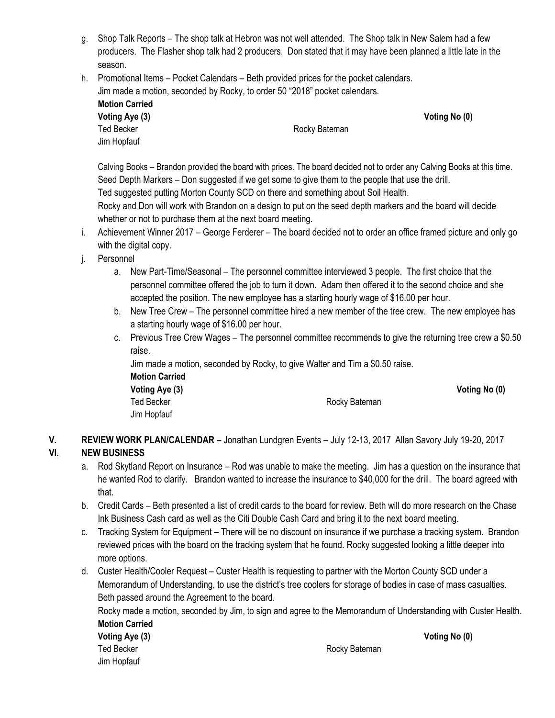- g. Shop Talk Reports The shop talk at Hebron was not well attended. The Shop talk in New Salem had a few producers. The Flasher shop talk had 2 producers. Don stated that it may have been planned a little late in the season.
- h. Promotional Items Pocket Calendars Beth provided prices for the pocket calendars. Jim made a motion, seconded by Rocky, to order 50 "2018" pocket calendars.

| <b>Motion Carried</b> |               |               |
|-----------------------|---------------|---------------|
| Voting Aye (3)        |               | Voting No (0) |
| Ted Becker            | Rocky Bateman |               |
| Jim Hopfauf           |               |               |

Calving Books – Brandon provided the board with prices. The board decided not to order any Calving Books at this time. Seed Depth Markers – Don suggested if we get some to give them to the people that use the drill. Ted suggested putting Morton County SCD on there and something about Soil Health.

Rocky and Don will work with Brandon on a design to put on the seed depth markers and the board will decide whether or not to purchase them at the next board meeting.

- i. Achievement Winner 2017 George Ferderer The board decided not to order an office framed picture and only go with the digital copy.
- j. Personnel
	- a. New Part-Time/Seasonal The personnel committee interviewed 3 people. The first choice that the personnel committee offered the job to turn it down. Adam then offered it to the second choice and she accepted the position. The new employee has a starting hourly wage of \$16.00 per hour.
	- b. New Tree Crew The personnel committee hired a new member of the tree crew. The new employee has a starting hourly wage of \$16.00 per hour.
	- c. Previous Tree Crew Wages The personnel committee recommends to give the returning tree crew a \$0.50 raise.

Jim made a motion, seconded by Rocky, to give Walter and Tim a \$0.50 raise.

**Motion Carried Voting Aye (3) Voting No (0)** Jim Hopfauf

Ted Becker **Rocky** Bateman

**V. REVIEW WORK PLAN/CALENDAR –** Jonathan Lundgren Events – July 12-13, 2017 Allan Savory July 19-20, 2017

### **VI. NEW BUSINESS**

- a. Rod Skytland Report on Insurance Rod was unable to make the meeting. Jim has a question on the insurance that he wanted Rod to clarify. Brandon wanted to increase the insurance to \$40,000 for the drill. The board agreed with that.
- b. Credit Cards Beth presented a list of credit cards to the board for review. Beth will do more research on the Chase Ink Business Cash card as well as the Citi Double Cash Card and bring it to the next board meeting.
- c. Tracking System for Equipment There will be no discount on insurance if we purchase a tracking system. Brandon reviewed prices with the board on the tracking system that he found. Rocky suggested looking a little deeper into more options.
- d. Custer Health/Cooler Request Custer Health is requesting to partner with the Morton County SCD under a Memorandum of Understanding, to use the district's tree coolers for storage of bodies in case of mass casualties. Beth passed around the Agreement to the board.

Rocky made a motion, seconded by Jim, to sign and agree to the Memorandum of Understanding with Custer Health. **Motion Carried**

| <b>Voting Aye (3)</b> |
|-----------------------|
| Ted Becker            |
| Jim Hopfauf           |

Rocky Bateman

**Voting Aye (3) Voting No (0)**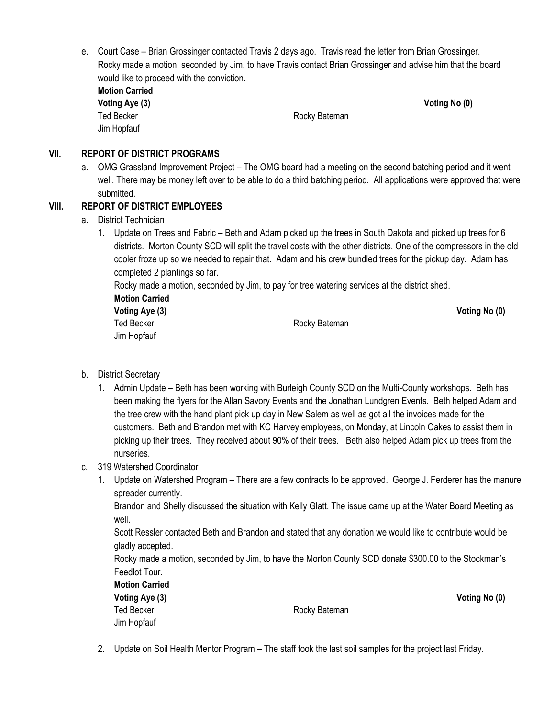e. Court Case – Brian Grossinger contacted Travis 2 days ago. Travis read the letter from Brian Grossinger. Rocky made a motion, seconded by Jim, to have Travis contact Brian Grossinger and advise him that the board would like to proceed with the conviction.

| <b>Motion Carried</b> |
|-----------------------|
| Voting Aye (3)        |
| <b>Ted Becker</b>     |
| Jim Hopfauf           |

Rocky Bateman

**Voting No (0)** 

#### **VII. REPORT OF DISTRICT PROGRAMS**

a. OMG Grassland Improvement Project – The OMG board had a meeting on the second batching period and it went well. There may be money left over to be able to do a third batching period. All applications were approved that were submitted.

#### **VIII. REPORT OF DISTRICT EMPLOYEES**

- a. District Technician
	- 1. Update on Trees and Fabric Beth and Adam picked up the trees in South Dakota and picked up trees for 6 districts. Morton County SCD will split the travel costs with the other districts. One of the compressors in the old cooler froze up so we needed to repair that. Adam and his crew bundled trees for the pickup day. Adam has completed 2 plantings so far.

Rocky made a motion, seconded by Jim, to pay for tree watering services at the district shed.

**Motion Carried Voting Aye (3) Voting No (0)** Jim Hopfauf

Ted Becker **Rocky Bateman** 

- b. District Secretary
	- 1. Admin Update Beth has been working with Burleigh County SCD on the Multi-County workshops. Beth has been making the flyers for the Allan Savory Events and the Jonathan Lundgren Events. Beth helped Adam and the tree crew with the hand plant pick up day in New Salem as well as got all the invoices made for the customers. Beth and Brandon met with KC Harvey employees, on Monday, at Lincoln Oakes to assist them in picking up their trees. They received about 90% of their trees. Beth also helped Adam pick up trees from the nurseries.
- c. 319 Watershed Coordinator
	- 1. Update on Watershed Program There are a few contracts to be approved. George J. Ferderer has the manure spreader currently.

Brandon and Shelly discussed the situation with Kelly Glatt. The issue came up at the Water Board Meeting as well.

Scott Ressler contacted Beth and Brandon and stated that any donation we would like to contribute would be gladly accepted.

Rocky made a motion, seconded by Jim, to have the Morton County SCD donate \$300.00 to the Stockman's Feedlot Tour.

| <b>Motion Carried</b> |
|-----------------------|
| Voting Aye (3)        |
| Ted Becker            |
| Jim Hopfauf           |

Rocky Bateman

**Voting Aye (3) Voting No (0)**

2. Update on Soil Health Mentor Program – The staff took the last soil samples for the project last Friday.